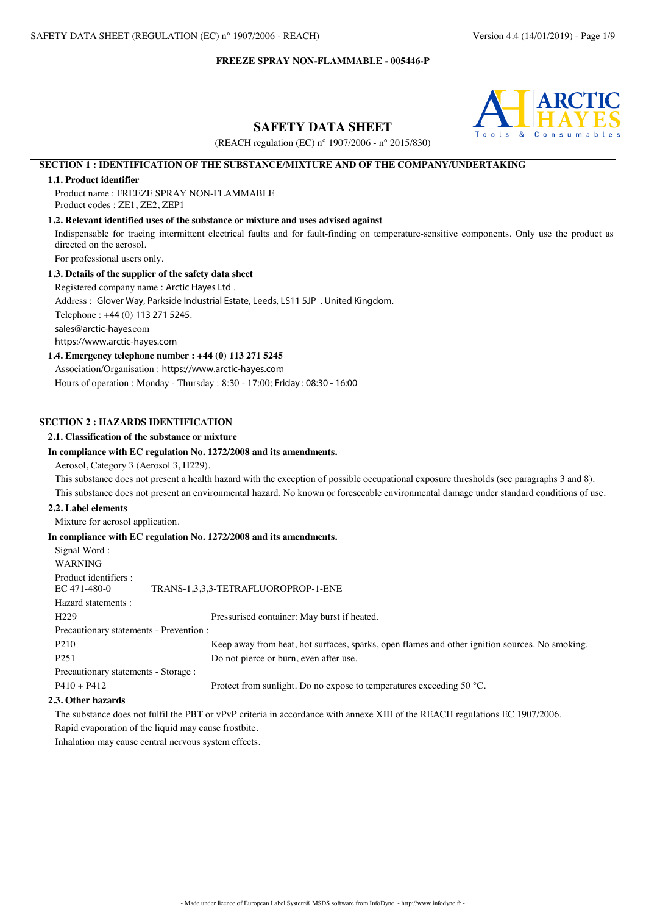

**SAFETY DATA SHEET**

(REACH regulation (EC) n° 1907/2006 - n° 2015/830)

# **SECTION 1 : IDENTIFICATION OF THE SUBSTANCE/MIXTURE AND OF THE COMPANY/UNDERTAKING**

## **1.1. Product identifier**

Product name : FREEZE SPRAY NON-FLAMMABLE Product codes : ZE1, ZE2, ZEP1

## **1.2. Relevant identified uses of the substance or mixture and uses advised against**

Indispensable for tracing intermittent electrical faults and for fault-finding on temperature-sensitive components. Only use the product as directed on the aerosol.

For professional users only.

## **1.3. Details of the supplier of the safety data sheet**

Registered company name : Arctic Hayes Ltd .

Address : Glover Way, Parkside Industrial Estate, Leeds, LS11 5JP . United Kingdom.

Telephone : +44 (0) 113 271 5245.

sales@arctic-hayes.com

https://www.arctic-hayes.com

#### **1.4. Emergency telephone number : +44 (0) 113 271 5245**

Association/Organisation : https://www.arctic-hayes.com. Hours of operation : Monday - Thursday : 8:30 - 17:00; Friday : 08:30 - 16:00

# **SECTION 2 : HAZARDS IDENTIFICATION**

## **2.1. Classification of the substance or mixture**

#### **In compliance with EC regulation No. 1272/2008 and its amendments.**

Aerosol, Category 3 (Aerosol 3, H229).

This substance does not present a health hazard with the exception of possible occupational exposure thresholds (see paragraphs 3 and 8). This substance does not present an environmental hazard. No known or foreseeable environmental damage under standard conditions of use.

#### **2.2. Label elements**

Mixture for aerosol application.

#### **In compliance with EC regulation No. 1272/2008 and its amendments.**

| Signal Word:                            |                                                                                                |
|-----------------------------------------|------------------------------------------------------------------------------------------------|
| <b>WARNING</b>                          |                                                                                                |
| Product identifiers :<br>EC 471-480-0   | TRANS-1,3,3,3-TETRAFLUOROPROP-1-ENE                                                            |
| Hazard statements:                      |                                                                                                |
| H <sub>229</sub>                        | Pressurised container: May burst if heated.                                                    |
| Precautionary statements - Prevention : |                                                                                                |
| P <sub>210</sub>                        | Keep away from heat, hot surfaces, sparks, open flames and other ignition sources. No smoking. |
| P <sub>251</sub>                        | Do not pierce or burn, even after use.                                                         |
| Precautionary statements - Storage :    |                                                                                                |
| $P410 + P412$                           | Protect from sunlight. Do no expose to temperatures exceeding 50 °C.                           |
| 2011                                    |                                                                                                |

#### **2.3. Other hazards**

The substance does not fulfil the PBT or vPvP criteria in accordance with annexe XIII of the REACH regulations EC 1907/2006. Rapid evaporation of the liquid may cause frostbite.

Inhalation may cause central nervous system effects.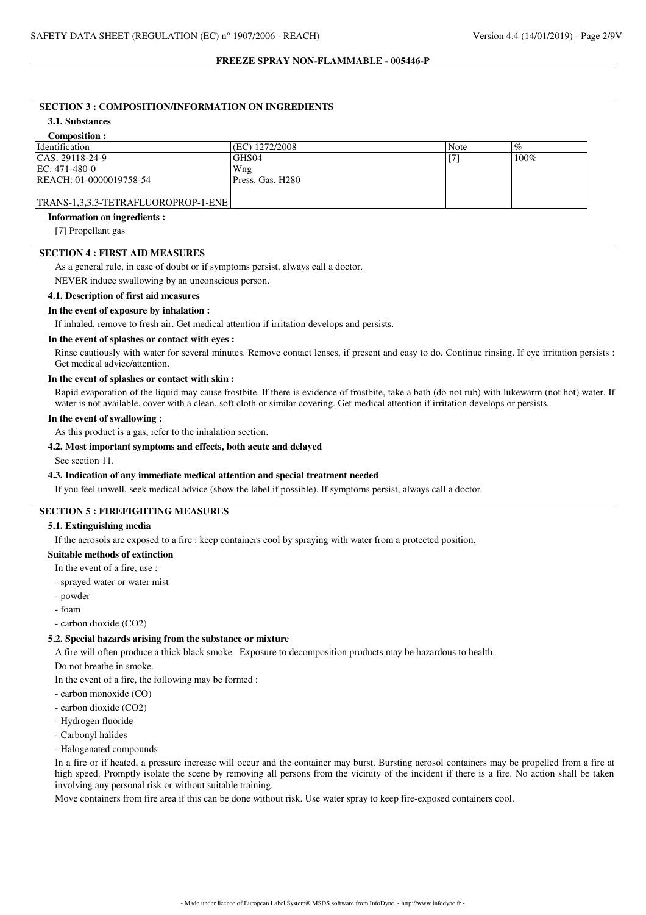#### **SECTION 3 : COMPOSITION/INFORMATION ON INGREDIENTS**

## **3.1. Substances**

## **Composition :**

| <b>Identification</b>               | (EC) 1272/2008    | Note | %    |
|-------------------------------------|-------------------|------|------|
| CAS: 29118-24-9                     | GHS <sub>04</sub> |      | 100% |
| $EC: 471-480-0$                     | Wng               |      |      |
| REACH: 01-0000019758-54             | Press. Gas. H280  |      |      |
|                                     |                   |      |      |
| TRANS-1,3,3,3-TETRAFLUOROPROP-1-ENE |                   |      |      |

#### **Information on ingredients :**

[7] Propellant gas

## **SECTION 4 : FIRST AID MEASURES**

As a general rule, in case of doubt or if symptoms persist, always call a doctor.

NEVER induce swallowing by an unconscious person.

## **4.1. Description of first aid measures**

#### **In the event of exposure by inhalation :**

If inhaled, remove to fresh air. Get medical attention if irritation develops and persists.

#### **In the event of splashes or contact with eyes :**

Rinse cautiously with water for several minutes. Remove contact lenses, if present and easy to do. Continue rinsing. If eye irritation persists : Get medical advice/attention.

# **In the event of splashes or contact with skin :**

Rapid evaporation of the liquid may cause frostbite. If there is evidence of frostbite, take a bath (do not rub) with lukewarm (not hot) water. If water is not available, cover with a clean, soft cloth or similar covering. Get medical attention if irritation develops or persists.

#### **In the event of swallowing :**

As this product is a gas, refer to the inhalation section.

### **4.2. Most important symptoms and effects, both acute and delayed**

See section 11.

## **4.3. Indication of any immediate medical attention and special treatment needed**

If you feel unwell, seek medical advice (show the label if possible). If symptoms persist, always call a doctor.

## **SECTION 5 : FIREFIGHTING MEASURES**

#### **5.1. Extinguishing media**

If the aerosols are exposed to a fire : keep containers cool by spraying with water from a protected position.

## **Suitable methods of extinction**

- In the event of a fire, use :
- sprayed water or water mist
- powder
- foam

- carbon dioxide (CO2)

## **5.2. Special hazards arising from the substance or mixture**

A fire will often produce a thick black smoke. Exposure to decomposition products may be hazardous to health.

Do not breathe in smoke.

In the event of a fire, the following may be formed :

- carbon monoxide (CO)
- carbon dioxide (CO2)
- Hydrogen fluoride
- Carbonyl halides
- Halogenated compounds

In a fire or if heated, a pressure increase will occur and the container may burst. Bursting aerosol containers may be propelled from a fire at high speed. Promptly isolate the scene by removing all persons from the vicinity of the incident if there is a fire. No action shall be taken involving any personal risk or without suitable training.

Move containers from fire area if this can be done without risk. Use water spray to keep fire-exposed containers cool.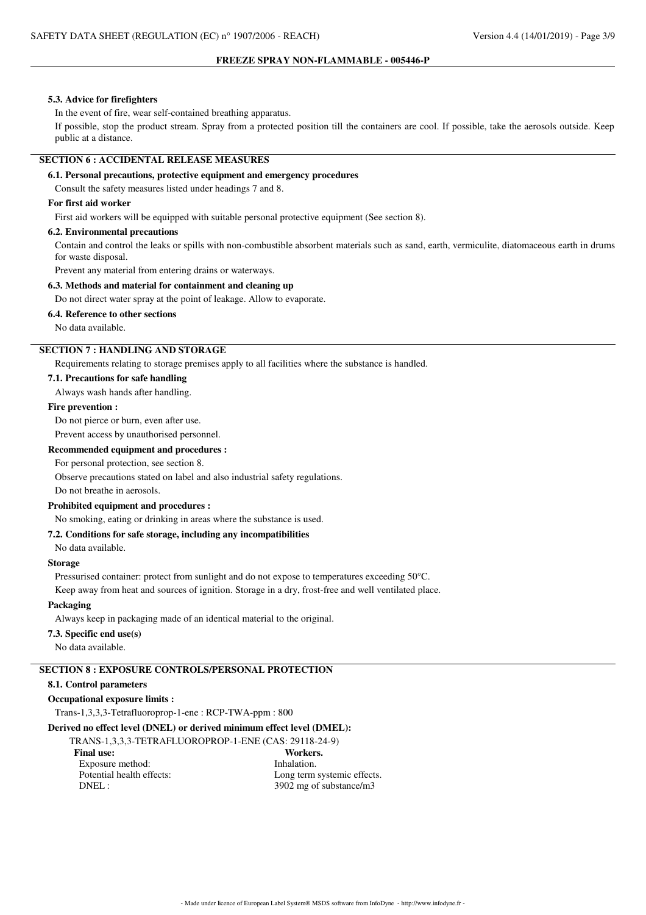#### **5.3. Advice for firefighters**

In the event of fire, wear self-contained breathing apparatus.

If possible, stop the product stream. Spray from a protected position till the containers are cool. If possible, take the aerosols outside. Keep public at a distance.

# **SECTION 6 : ACCIDENTAL RELEASE MEASURES**

## **6.1. Personal precautions, protective equipment and emergency procedures**

Consult the safety measures listed under headings 7 and 8.

### **For first aid worker**

First aid workers will be equipped with suitable personal protective equipment (See section 8).

## **6.2. Environmental precautions**

Contain and control the leaks or spills with non-combustible absorbent materials such as sand, earth, vermiculite, diatomaceous earth in drums for waste disposal.

Prevent any material from entering drains or waterways.

#### **6.3. Methods and material for containment and cleaning up**

Do not direct water spray at the point of leakage. Allow to evaporate.

## **6.4. Reference to other sections**

No data available.

# **SECTION 7 : HANDLING AND STORAGE**

Requirements relating to storage premises apply to all facilities where the substance is handled.

**7.1. Precautions for safe handling**

Always wash hands after handling.

#### **Fire prevention :**

Do not pierce or burn, even after use.

# Prevent access by unauthorised personnel.

**Recommended equipment and procedures :**

For personal protection, see section 8.

Observe precautions stated on label and also industrial safety regulations.

Do not breathe in aerosols.

## **Prohibited equipment and procedures :**

No smoking, eating or drinking in areas where the substance is used.

## **7.2. Conditions for safe storage, including any incompatibilities**

No data available.

# **Storage**

Pressurised container: protect from sunlight and do not expose to temperatures exceeding 50°C.

Keep away from heat and sources of ignition. Storage in a dry, frost-free and well ventilated place.

#### **Packaging**

Always keep in packaging made of an identical material to the original.

## **7.3. Specific end use(s)**

No data available.

# **SECTION 8 : EXPOSURE CONTROLS/PERSONAL PROTECTION**

## **8.1. Control parameters**

## **Occupational exposure limits :**

Trans-1,3,3,3-Tetrafluoroprop-1-ene : RCP-TWA-ppm : 800

#### **Derived no effect level (DNEL) or derived minimum effect level (DMEL):**

TRANS-1,3,3,3-TETRAFLUOROPROP-1-ENE (CAS: 29118-24-9) Final use: Workers. Exposure method: Inhalation.

Potential health effects:<br>
Long term systemic effects. DNEL : 3902 mg of substance/m3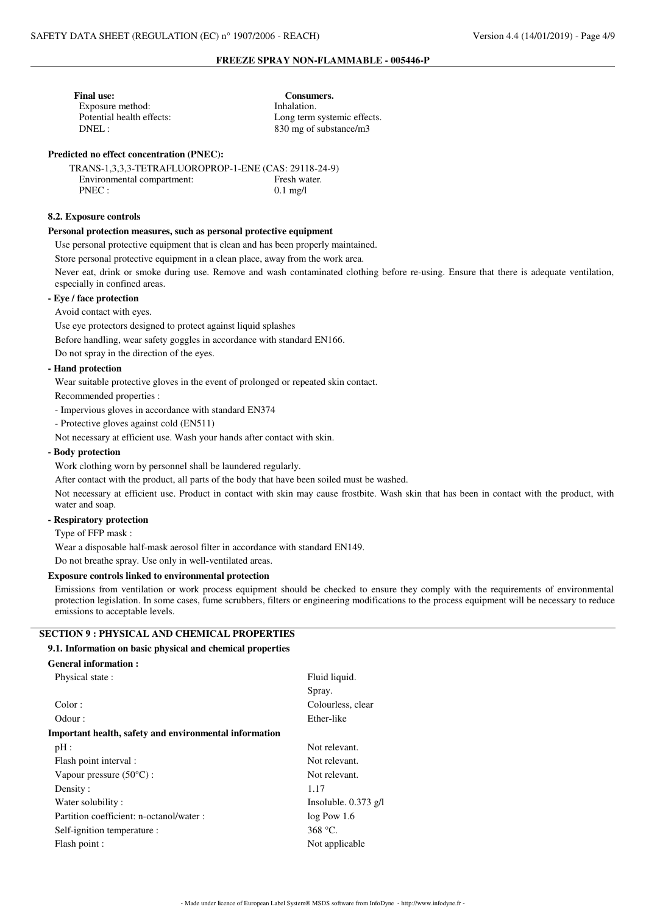| Consumers.                  |
|-----------------------------|
| Inhalation.                 |
| Long term systemic effects. |
| 830 mg of substance/m3      |
|                             |

## **Predicted no effect concentration (PNEC):**

| TRANS-1.3.3.3-TETRAFLUOROPROP-1-ENE (CAS: 29118-24-9) |                    |
|-------------------------------------------------------|--------------------|
| Environmental compartment:                            | Fresh water.       |
| PNEC:                                                 | $0.1 \text{ mg/l}$ |
|                                                       |                    |

## **8.2. Exposure controls**

## **Personal protection measures, such as personal protective equipment**

Use personal protective equipment that is clean and has been properly maintained.

Store personal protective equipment in a clean place, away from the work area.

Never eat, drink or smoke during use. Remove and wash contaminated clothing before re-using. Ensure that there is adequate ventilation, especially in confined areas.

#### **- Eye / face protection**

Avoid contact with eyes.

Use eye protectors designed to protect against liquid splashes

Before handling, wear safety goggles in accordance with standard EN166.

Do not spray in the direction of the eyes.

## **- Hand protection**

Wear suitable protective gloves in the event of prolonged or repeated skin contact.

Recommended properties :

- Impervious gloves in accordance with standard EN374

- Protective gloves against cold (EN511)
- Not necessary at efficient use. Wash your hands after contact with skin.

## **- Body protection**

Work clothing worn by personnel shall be laundered regularly.

After contact with the product, all parts of the body that have been soiled must be washed.

Not necessary at efficient use. Product in contact with skin may cause frostbite. Wash skin that has been in contact with the product, with water and soap.

## **- Respiratory protection**

Type of FFP mask :

Wear a disposable half-mask aerosol filter in accordance with standard EN149.

Do not breathe spray. Use only in well-ventilated areas.

#### **Exposure controls linked to environmental protection**

Emissions from ventilation or work process equipment should be checked to ensure they comply with the requirements of environmental protection legislation. In some cases, fume scrubbers, filters or engineering modifications to the process equipment will be necessary to reduce emissions to acceptable levels.

## **SECTION 9 : PHYSICAL AND CHEMICAL PROPERTIES**

#### **9.1. Information on basic physical and chemical properties**

| Physical state:                                        | Fluid liquid.          |  |  |  |
|--------------------------------------------------------|------------------------|--|--|--|
|                                                        | Spray.                 |  |  |  |
| Color:                                                 | Colourless, clear      |  |  |  |
| Odour:                                                 | Ether-like             |  |  |  |
| Important health, safety and environmental information |                        |  |  |  |
| pH:                                                    | Not relevant.          |  |  |  |
| Flash point interval :                                 | Not relevant.          |  |  |  |
| Vapour pressure $(50^{\circ}C)$ :                      | Not relevant.          |  |  |  |
| Density:                                               | 1.17                   |  |  |  |
| Water solubility:                                      | Insoluble. $0.373$ g/l |  |  |  |
| Partition coefficient: n-octanol/water :               | $log$ Pow 1.6          |  |  |  |
| Self-ignition temperature :                            | 368 °C.                |  |  |  |
| Flash point :                                          | Not applicable         |  |  |  |
|                                                        |                        |  |  |  |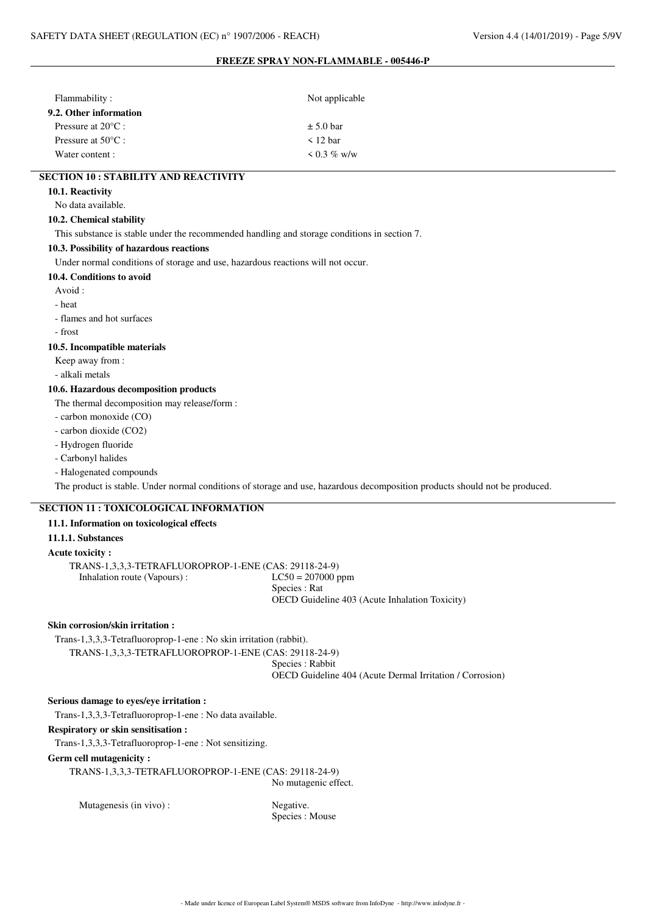| Flammability:                | Not applicable    |
|------------------------------|-------------------|
| 9.2. Other information       |                   |
| Pressure at $20^{\circ}$ C : | $\pm$ 5.0 bar     |
| Pressure at $50^{\circ}$ C : | $\leq$ 12 har     |
| Water content :              | $\leq 0.3 \%$ w/w |

# **SECTION 10 : STABILITY AND REACTIVITY**

**10.1. Reactivity**

#### No data available.

#### **10.2. Chemical stability**

This substance is stable under the recommended handling and storage conditions in section 7.

#### **10.3. Possibility of hazardous reactions**

Under normal conditions of storage and use, hazardous reactions will not occur.

#### **10.4. Conditions to avoid**

Avoid :

## - heat

- flames and hot surfaces

- frost

#### **10.5. Incompatible materials**

Keep away from :

- alkali metals

#### **10.6. Hazardous decomposition products**

The thermal decomposition may release/form :

- carbon monoxide (CO)

- carbon dioxide (CO2)
- Hydrogen fluoride
- Carbonyl halides
- Halogenated compounds

The product is stable. Under normal conditions of storage and use, hazardous decomposition products should not be produced.

# **SECTION 11 : TOXICOLOGICAL INFORMATION**

## **11.1. Information on toxicological effects**

**11.1.1. Substances**

# **Acute toxicity :**

TRANS-1,3,3,3-TETRAFLUOROPROP-1-ENE (CAS: 29118-24-9) Inhalation route (Vapours) : LC50 = 207000 ppm

# **Skin corrosion/skin irritation :**

Trans-1,3,3,3-Tetrafluoroprop-1-ene : No skin irritation (rabbit).

TRANS-1,3,3,3-TETRAFLUOROPROP-1-ENE (CAS: 29118-24-9)

Species : Rabbit

Species : Rat

OECD Guideline 404 (Acute Dermal Irritation / Corrosion)

OECD Guideline 403 (Acute Inhalation Toxicity)

## **Serious damage to eyes/eye irritation :**

Trans-1,3,3,3-Tetrafluoroprop-1-ene : No data available.

# **Respiratory or skin sensitisation :**

Trans-1,3,3,3-Tetrafluoroprop-1-ene : Not sensitizing.

#### **Germ cell mutagenicity :**

TRANS-1,3,3,3-TETRAFLUOROPROP-1-ENE (CAS: 29118-24-9)

No mutagenic effect.

Mutagenesis (in vivo) : Negative.

Species : Mouse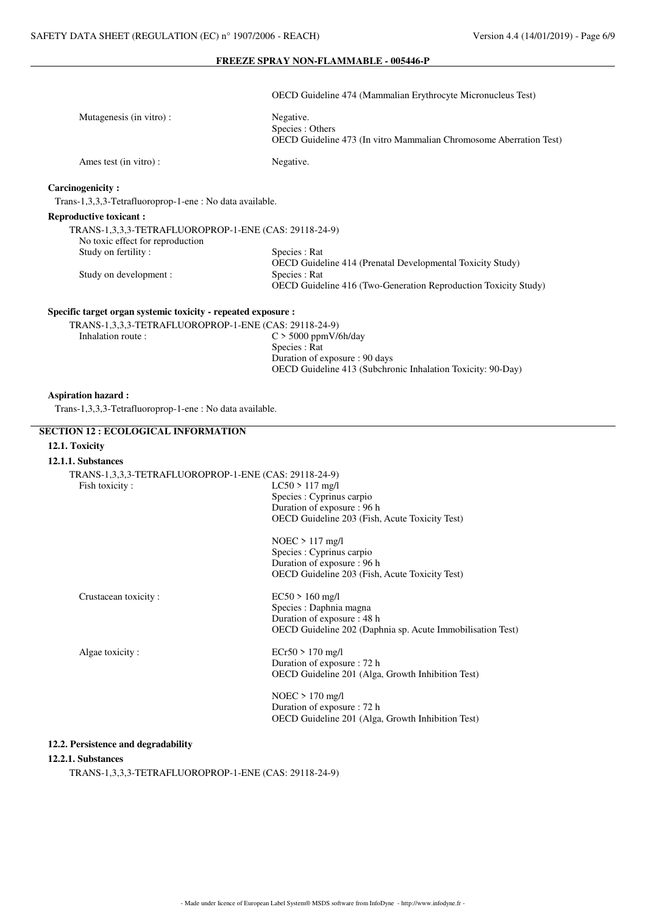OECD Guideline 474 (Mammalian Erythrocyte Micronucleus Test)

| Mutagenesis (in vitro):                                                                   | Negative.<br>Species : Others<br><b>OECD</b> Guideline 473 (In vitro Mammalian Chromosome Aberration Test) |
|-------------------------------------------------------------------------------------------|------------------------------------------------------------------------------------------------------------|
| Ames test (in vitro):                                                                     | Negative.                                                                                                  |
| Carcinogenicity:                                                                          |                                                                                                            |
| Trans-1,3,3,3-Tetrafluoroprop-1-ene : No data available.                                  |                                                                                                            |
| <b>Reproductive toxicant:</b>                                                             |                                                                                                            |
| TRANS-1,3,3,3-TETRAFLUOROPROP-1-ENE (CAS: 29118-24-9)<br>No toxic effect for reproduction |                                                                                                            |

| Species : Rat                                                     |
|-------------------------------------------------------------------|
| <b>OECD</b> Guideline 414 (Prenatal Developmental Toxicity Study) |
| Species : Rat                                                     |
| OECD Guideline 416 (Two-Generation Reproduction Toxicity Study)   |
|                                                                   |

## **Specific target organ systemic toxicity - repeated exposure :**

TRANS-1,3,3,3-TETRAFLUOROPROP-1-ENE (CAS: 29118-24-9)<br>Inhalation route :  $C > 5000$  ppmV/  $C > 5000$  ppmV/6h/day Species : Rat Duration of exposure : 90 days OECD Guideline 413 (Subchronic Inhalation Toxicity: 90-Day)

#### **Aspiration hazard :**

Trans-1,3,3,3-Tetrafluoroprop-1-ene : No data available.

## **SECTION 12 : ECOLOGICAL INFORMATION**

# **12.1. Toxicity**

## **12.1.1. Substances**

| TRANS-1,3,3,3-TETRAFLUOROPROP-1-ENE (CAS: 29118-24-9) |                                                            |
|-------------------------------------------------------|------------------------------------------------------------|
| Fish toxicity:                                        | $LC50 > 117$ mg/l                                          |
|                                                       | Species : Cyprinus carpio                                  |
|                                                       | Duration of exposure : 96 h                                |
|                                                       | <b>OECD</b> Guideline 203 (Fish, Acute Toxicity Test)      |
|                                                       | $NOEC > 117$ mg/l                                          |
|                                                       | Species : Cyprinus carpio                                  |
|                                                       | Duration of exposure : 96 h                                |
|                                                       | OECD Guideline 203 (Fish, Acute Toxicity Test)             |
| Crustacean toxicity:                                  | $EC50 > 160$ mg/l                                          |
|                                                       | Species : Daphnia magna                                    |
|                                                       | Duration of exposure : 48 h                                |
|                                                       | OECD Guideline 202 (Daphnia sp. Acute Immobilisation Test) |
| Algae toxicity:                                       | $ECr50 > 170$ mg/l                                         |
|                                                       | Duration of exposure : 72 h                                |
|                                                       | OECD Guideline 201 (Alga, Growth Inhibition Test)          |
|                                                       | $NOEC > 170$ mg/l                                          |
|                                                       | Duration of exposure : 72 h                                |
|                                                       | <b>OECD</b> Guideline 201 (Alga, Growth Inhibition Test)   |

# **12.2. Persistence and degradability**

#### **12.2.1. Substances**

TRANS-1,3,3,3-TETRAFLUOROPROP-1-ENE (CAS: 29118-24-9)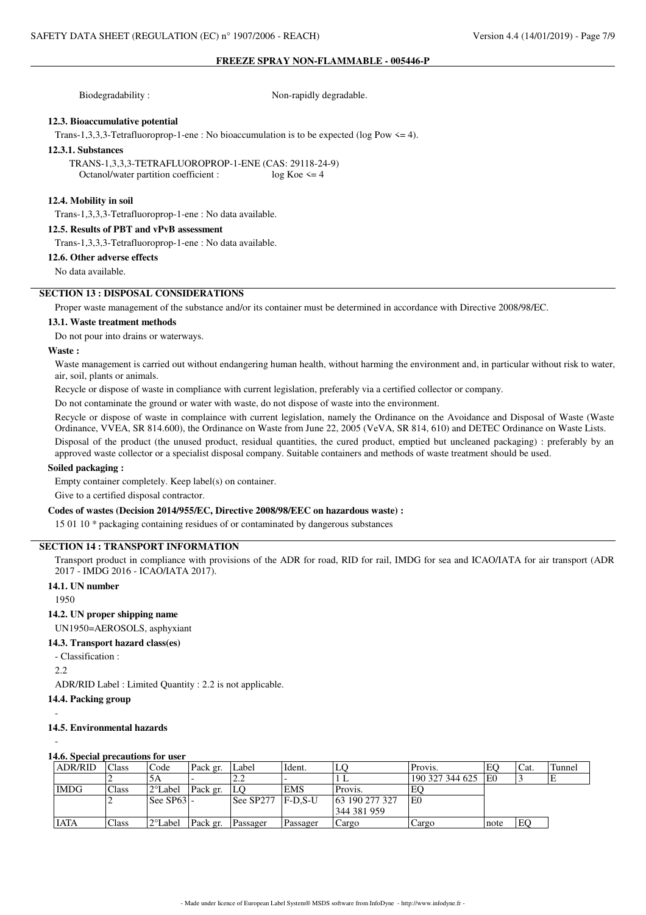Biodegradability : Non-rapidly degradable.

## **12.3. Bioaccumulative potential**

Trans-1,3,3,3-Tetrafluoroprop-1-ene : No bioaccumulation is to be expected (log Pow  $\leq$  4).

#### **12.3.1. Substances**

TRANS-1,3,3,3-TETRAFLUOROPROP-1-ENE (CAS: 29118-24-9)<br>Octanol/water partition coefficient :  $\log K$  oe  $\leq$  = 4 Octanol/water partition coefficient :

#### **12.4. Mobility in soil**

Trans-1,3,3,3-Tetrafluoroprop-1-ene : No data available.

#### **12.5. Results of PBT and vPvB assessment**

Trans-1,3,3,3-Tetrafluoroprop-1-ene : No data available.

## **12.6. Other adverse effects**

No data available.

# **SECTION 13 : DISPOSAL CONSIDERATIONS**

Proper waste management of the substance and/or its container must be determined in accordance with Directive 2008/98/EC.

#### **13.1. Waste treatment methods**

Do not pour into drains or waterways.

## **Waste :**

Waste management is carried out without endangering human health, without harming the environment and, in particular without risk to water, air, soil, plants or animals.

Recycle or dispose of waste in compliance with current legislation, preferably via a certified collector or company.

Do not contaminate the ground or water with waste, do not dispose of waste into the environment.

Recycle or dispose of waste in complaince with current legislation, namely the Ordinance on the Avoidance and Disposal of Waste (Waste Ordinance, VVEA, SR 814.600), the Ordinance on Waste from June 22, 2005 (VeVA, SR 814, 610) and DETEC Ordinance on Waste Lists.

Disposal of the product (the unused product, residual quantities, the cured product, emptied but uncleaned packaging) : preferably by an approved waste collector or a specialist disposal company. Suitable containers and methods of waste treatment should be used.

## **Soiled packaging :**

Empty container completely. Keep label(s) on container.

Give to a certified disposal contractor.

#### **Codes of wastes (Decision 2014/955/EC, Directive 2008/98/EEC on hazardous waste) :**

15 01 10 \* packaging containing residues of or contaminated by dangerous substances

## **SECTION 14 : TRANSPORT INFORMATION**

Transport product in compliance with provisions of the ADR for road, RID for rail, IMDG for sea and ICAO/IATA for air transport (ADR 2017 - IMDG 2016 - ICAO/IATA 2017).

#### **14.1. UN number**

1950

### **14.2. UN proper shipping name**

UN1950=AEROSOLS, asphyxiant

- **14.3. Transport hazard class(es)**
	- Classification :

2.2

-

-

ADR/RID Label : Limited Quantity : 2.2 is not applicable.

## **14.4. Packing group**

## **14.5. Environmental hazards**

#### **14.6. Special precautions for user**

| <b>ADR/RID</b> | Class | Code              | Pack gr. | Label          | Ident.     | LO             | Provis.         | EC   | 'Cat. | Tunnel |
|----------------|-------|-------------------|----------|----------------|------------|----------------|-----------------|------|-------|--------|
|                |       | 5A                |          | $\overline{a}$ |            |                | 190 327 344 625 | lE0  |       |        |
| <b>IMDG</b>    | Class | 2°Label           | Pack gr. | LO             | <b>EMS</b> | Provis.        | EC              |      |       |        |
|                |       | See SP631-        |          | See SP277      | F-D.S-U    | 63 190 277 327 | l E0            |      |       |        |
|                |       |                   |          |                |            | 344 381 959    |                 |      |       |        |
| <b>IATA</b>    | Class | $2^{\circ}$ Label | Pack gr. | Passager       | Passager   | Cargo          | Cargo           | note | EO    |        |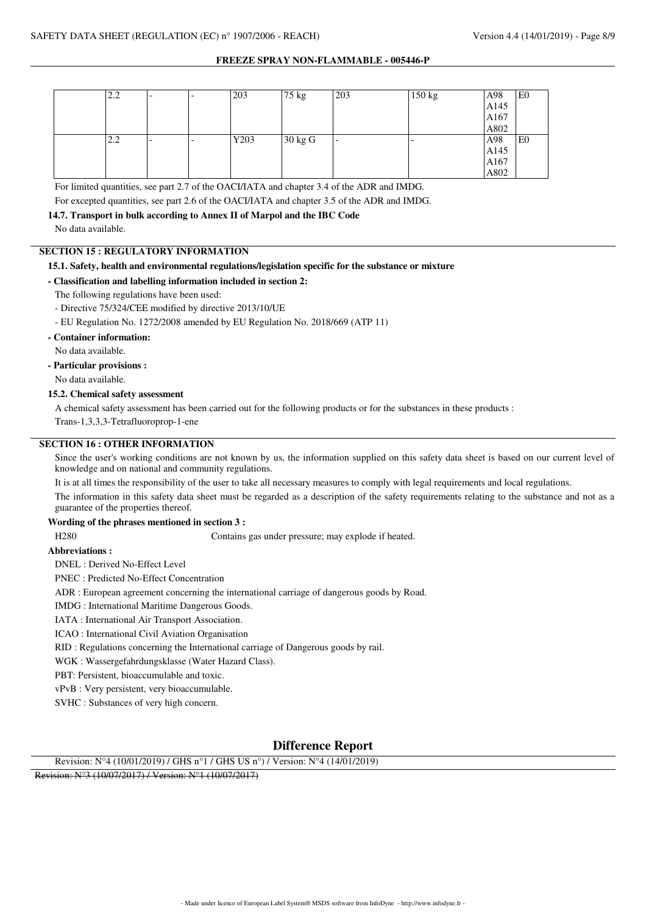| 2.2 | $\overline{\phantom{0}}$ | $\overline{\phantom{0}}$ | 203  | 75 kg             | 203                      | 150 kg                   | A98  | ΙE <sub>0</sub> |
|-----|--------------------------|--------------------------|------|-------------------|--------------------------|--------------------------|------|-----------------|
|     |                          |                          |      |                   |                          |                          | A145 |                 |
|     |                          |                          |      |                   |                          |                          | A167 |                 |
|     |                          |                          |      |                   |                          |                          | A802 |                 |
| 2.2 | $\overline{\phantom{0}}$ | $\overline{\phantom{0}}$ | Y203 | $30 \text{ kg}$ G | $\overline{\phantom{0}}$ | $\overline{\phantom{0}}$ | A98  | E <sub>0</sub>  |
|     |                          |                          |      |                   |                          |                          | A145 |                 |
|     |                          |                          |      |                   |                          |                          | A167 |                 |
|     |                          |                          |      |                   |                          |                          | A802 |                 |

For limited quantities, see part 2.7 of the OACI/IATA and chapter 3.4 of the ADR and IMDG.

For excepted quantities, see part 2.6 of the OACI/IATA and chapter 3.5 of the ADR and IMDG.

#### **14.7. Transport in bulk according to Annex II of Marpol and the IBC Code**

No data available.

## **SECTION 15 : REGULATORY INFORMATION**

## **15.1. Safety, health and environmental regulations/legislation specific for the substance or mixture**

**- Classification and labelling information included in section 2:**

The following regulations have been used:

- Directive 75/324/CEE modified by directive 2013/10/UE
- EU Regulation No. 1272/2008 amended by EU Regulation No. 2018/669 (ATP 11)

#### **- Container information:**

No data available.

## **- Particular provisions :**

No data available.

## **15.2. Chemical safety assessment**

A chemical safety assessment has been carried out for the following products or for the substances in these products :

Trans-1,3,3,3-Tetrafluoroprop-1-ene

# **SECTION 16 : OTHER INFORMATION**

Since the user's working conditions are not known by us, the information supplied on this safety data sheet is based on our current level of knowledge and on national and community regulations.

It is at all times the responsibility of the user to take all necessary measures to comply with legal requirements and local regulations.

The information in this safety data sheet must be regarded as a description of the safety requirements relating to the substance and not as a guarantee of the properties thereof.

## **Wording of the phrases mentioned in section 3 :**

H280 Contains gas under pressure; may explode if heated.

## **Abbreviations :**

DNEL : Derived No-Effect Level

PNEC : Predicted No-Effect Concentration

ADR : European agreement concerning the international carriage of dangerous goods by Road.

IMDG : International Maritime Dangerous Goods.

IATA : International Air Transport Association.

ICAO : International Civil Aviation Organisation

RID : Regulations concerning the International carriage of Dangerous goods by rail.

WGK : Wassergefahrdungsklasse (Water Hazard Class).

PBT: Persistent, bioaccumulable and toxic.

vPvB : Very persistent, very bioaccumulable.

SVHC : Substances of very high concern.

# **Difference Report**

Revision: N°4 (10/01/2019) / GHS n°1 / GHS US n°) / Version: N°4 (14/01/2019)

Revision: N°3 (10/07/2017) / Version: N°1 (10/07/2017)